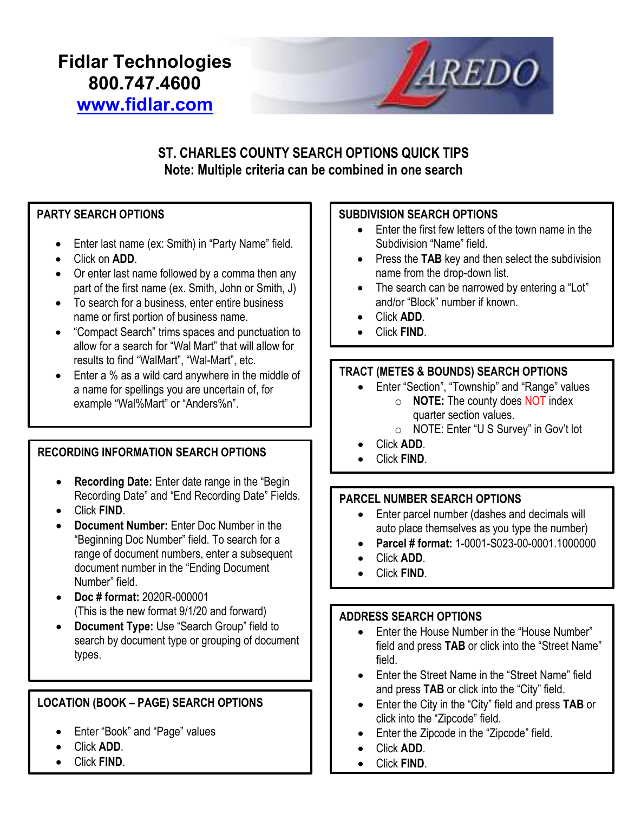# Fidlar Technologies 800.747.4600 www.fidlar.com



# ST. CHARLES COUNTY SEARCH OPTIONS QUICK TIPS Note: Multiple criteria can be combined in one search

# PARTY SEARCH OPTIONS

- Enter last name (ex: Smith) in "Party Name" field.
- Click on **ADD**.
- Or enter last name followed by a comma then any part of the first name (ex. Smith, John or Smith, J)
- To search for a business, enter entire business name or first portion of business name.
- "Compact Search" trims spaces and punctuation to allow for a search for "Wal Mart" that will allow for results to find "WalMart", "Wal-Mart", etc.
- Enter a % as a wild card anywhere in the middle of a name for spellings you are uncertain of, for example "Wal%Mart" or "Anders%n".

# RECORDING INFORMATION SEARCH OPTIONS

- Recording Date: Enter date range in the "Begin Recording Date" and "End Recording Date" Fields.
- Click FIND.
- Document Number: Enter Doc Number in the "Beginning Doc Number" field. To search for a range of document numbers, enter a subsequent document number in the "Ending Document Number" field.
- Doc # format: 2020R-000001 (This is the new format 9/1/20 and forward)
- Document Type: Use "Search Group" field to search by document type or grouping of document types.

# LOCATION (BOOK – PAGE) SEARCH OPTIONS

- Enter "Book" and "Page" values
- Click ADD.
- Click FIND.

#### SUBDIVISION SEARCH OPTIONS

- Enter the first few letters of the town name in the Subdivision "Name" field.
- Press the TAB key and then select the subdivision name from the drop-down list.
- The search can be narrowed by entering a "Lot" and/or "Block" number if known.
- Click ADD.
- Click FIND.

# TRACT (METES & BOUNDS) SEARCH OPTIONS

- Enter "Section", "Township" and "Range" values  $\circ$  **NOTE:** The county does **NOT** index quarter section values.
	- o NOTE: Enter "U S Survey" in Gov't lot
- Click ADD.
- Click FIND.

#### PARCEL NUMBER SEARCH OPTIONS

- Enter parcel number (dashes and decimals will auto place themselves as you type the number)
- Parcel # format: 1-0001-S023-00-0001.1000000
- Click ADD.
- Click FIND.

#### ADDRESS SEARCH OPTIONS

- Enter the House Number in the "House Number" field and press TAB or click into the "Street Name" field.
- Fnter the Street Name in the "Street Name" field and press TAB or click into the "City" field.
- Enter the City in the "City" field and press TAB or click into the "Zipcode" field.
- Enter the Zipcode in the "Zipcode" field.
- Click ADD.
- Click FIND.